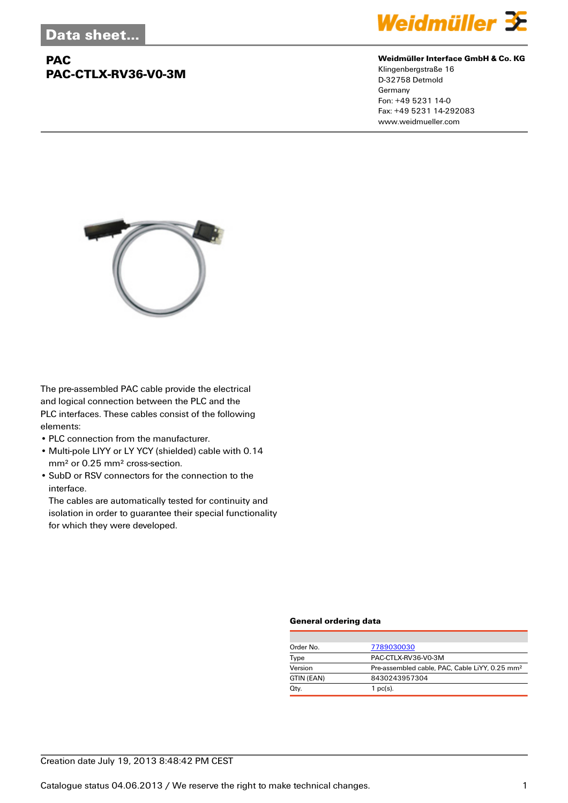# **PAC PAC-CTLX-RV36-V0-3M**



### **Weidmüller Interface GmbH & Co. KG**

Klingenbergstraße 16 D-32758 Detmold Germany Fon: +49 5231 14-0 Fax: +49 5231 14-292083 www.weidmueller.com



The pre-assembled PAC cable provide the electrical and logical connection between the PLC and the PLC interfaces. These cables consist of the following elements:

- PLC connection from the manufacturer.
- Multi-pole LIYY or LY YCY (shielded) cable with 0.14 mm² or 0.25 mm² cross-section.
- SubD or RSV connectors for the connection to the interface.

The cables are automatically tested for continuity and isolation in order to guarantee their special functionality for which they were developed.

#### **General ordering data**

| Order No.  | 7789030030                                                 |
|------------|------------------------------------------------------------|
| Type       | PAC-CTLX-RV36-V0-3M                                        |
| Version    | Pre-assembled cable, PAC, Cable LiYY, 0.25 mm <sup>2</sup> |
| GTIN (EAN) | 8430243957304                                              |
| Qty.       | $1$ pc(s).                                                 |